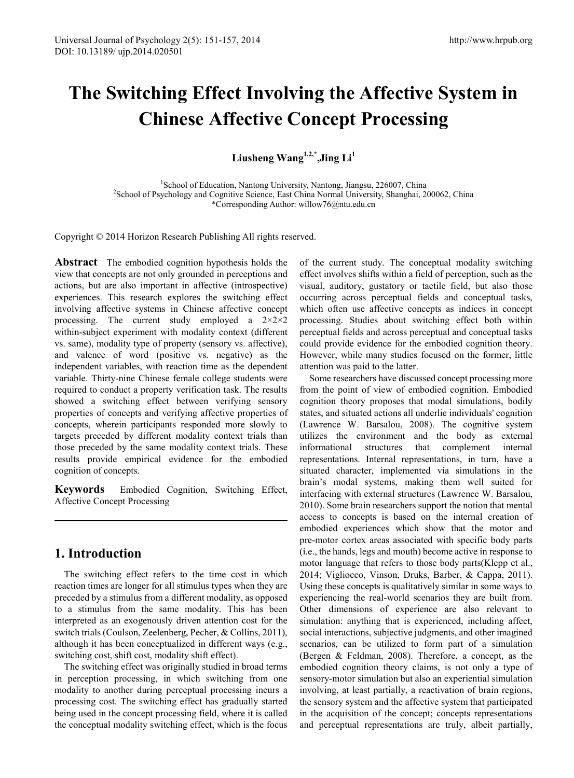# **The Switching Effect Involving the Affective System in Chinese Affective Concept Processing**

**Liusheng Wang1,2,\* ,Jing Li<sup>1</sup>**

<sup>1</sup>School of Education, Nantong University, Nantong, Jiangsu, 226007, China<br><sup>2</sup>School of Psychology and Cognitive Science, East China Normal University, Shanghai <sup>2</sup> School of Psychology and Cognitive Science, East China Normal University, Shanghai, 200062, China \*Corresponding Author: willow76@ntu.edu.cn

Copyright © 2014 Horizon Research Publishing All rights reserved.

**Abstract** The embodied cognition hypothesis holds the view that concepts are not only grounded in perceptions and actions, but are also important in affective (introspective) experiences. This research explores the switching effect involving affective systems in Chinese affective concept processing. The current study employed a  $2\times2\times2$ within-subject experiment with modality context (different vs. same), modality type of property (sensory vs. affective), and valence of word (positive vs. negative) as the independent variables, with reaction time as the dependent variable. Thirty-nine Chinese female college students were required to conduct a property verification task. The results showed a switching effect between verifying sensory properties of concepts and verifying affective properties of concepts, wherein participants responded more slowly to targets preceded by different modality context trials than those preceded by the same modality context trials. These results provide empirical evidence for the embodied cognition of concepts.

**Keywords** Embodied Cognition, Switching Effect, Affective Concept Processing

## **1. Introduction**

The switching effect refers to the time cost in which reaction times are longer for all stimulus types when they are preceded by a stimulus from a different modality, as opposed to a stimulus from the same modality. This has been interpreted as an exogenously driven attention cost for the switch trials (Coulson, Zeelenberg, Pecher, & Collins, 2011), although it has been conceptualized in different ways (e.g., switching cost, shift cost, modality shift effect).

The switching effect was originally studied in broad terms in perception processing, in which switching from one modality to another during perceptual processing incurs a processing cost. The switching effect has gradually started being used in the concept processing field, where it is called the conceptual modality switching effect, which is the focus

of the current study. The conceptual modality switching effect involves shifts within a field of perception, such as the visual, auditory, gustatory or tactile field, but also those occurring across perceptual fields and conceptual tasks, which often use affective concepts as indices in concept processing. Studies about switching effect both within perceptual fields and across perceptual and conceptual tasks could provide evidence for the embodied cognition theory. However, while many studies focused on the former, little attention was paid to the latter.

Some researchers have discussed concept processing more from the point of view of embodied cognition. Embodied cognition theory proposes that modal simulations, bodily states, and situated actions all underlie individuals' cognition (Lawrence W. Barsalou, 2008). The cognitive system utilizes the environment and the body as external informational structures that complement internal representations. Internal representations, in turn, have a situated character, implemented via simulations in the brain's modal systems, making them well suited for interfacing with external structures (Lawrence W. Barsalou, 2010). Some brain researchers support the notion that mental access to concepts is based on the internal creation of embodied experiences which show that the motor and pre-motor cortex areas associated with specific body parts (i.e., the hands, legs and mouth) become active in response to motor language that refers to those body parts(Klepp et al., 2014; Vigliocco, Vinson, Druks, Barber, & Cappa, 2011). Using these concepts is qualitatively similar in some ways to experiencing the real-world scenarios they are built from. Other dimensions of experience are also relevant to simulation: anything that is experienced, including affect, social interactions, subjective judgments, and other imagined scenarios, can be utilized to form part of a simulation (Bergen & Feldman, 2008). Therefore, a concept, as the embodied cognition theory claims, is not only a type of sensory-motor simulation but also an experiential simulation involving, at least partially, a reactivation of brain regions, the sensory system and the affective system that participated in the acquisition of the concept; concepts representations and perceptual representations are truly, albeit partially,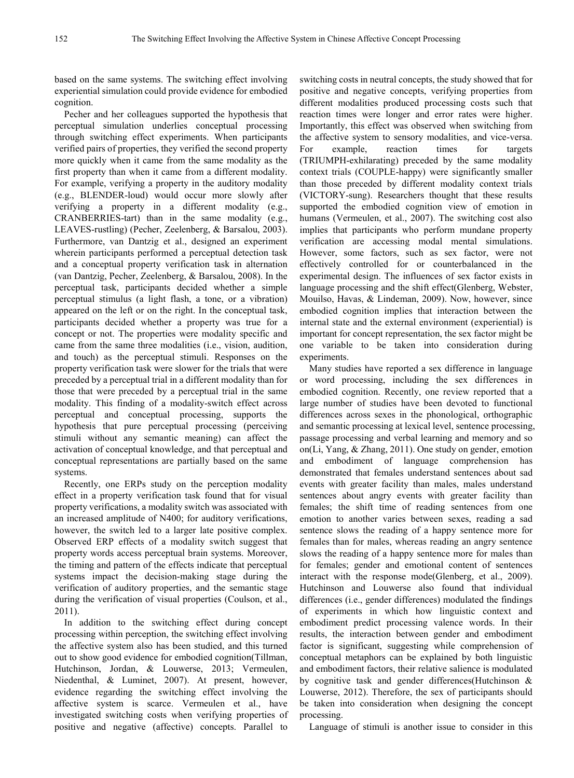based on the same systems. The switching effect involving experiential simulation could provide evidence for embodied cognition.

Pecher and her colleagues supported the hypothesis that perceptual simulation underlies conceptual processing through switching effect experiments. When participants verified pairs of properties, they verified the second property more quickly when it came from the same modality as the first property than when it came from a different modality. For example, verifying a property in the auditory modality (e.g., BLENDER-loud) would occur more slowly after verifying a property in a different modality (e.g., CRANBERRIES-tart) than in the same modality (e.g., LEAVES-rustling) (Pecher, Zeelenberg, & Barsalou, 2003). Furthermore, van Dantzig et al., designed an experiment wherein participants performed a perceptual detection task and a conceptual property verification task in alternation (van Dantzig, Pecher, Zeelenberg, & Barsalou, 2008). In the perceptual task, participants decided whether a simple perceptual stimulus (a light flash, a tone, or a vibration) appeared on the left or on the right. In the conceptual task, participants decided whether a property was true for a concept or not. The properties were modality specific and came from the same three modalities (i.e., vision, audition, and touch) as the perceptual stimuli. Responses on the property verification task were slower for the trials that were preceded by a perceptual trial in a different modality than for those that were preceded by a perceptual trial in the same modality. This finding of a modality-switch effect across perceptual and conceptual processing, supports the hypothesis that pure perceptual processing (perceiving stimuli without any semantic meaning) can affect the activation of conceptual knowledge, and that perceptual and conceptual representations are partially based on the same systems.

Recently, one ERPs study on the perception modality effect in a property verification task found that for visual property verifications, a modality switch was associated with an increased amplitude of N400; for auditory verifications, however, the switch led to a larger late positive complex. Observed ERP effects of a modality switch suggest that property words access perceptual brain systems. Moreover, the timing and pattern of the effects indicate that perceptual systems impact the decision-making stage during the verification of auditory properties, and the semantic stage during the verification of visual properties (Coulson, et al., 2011).

In addition to the switching effect during concept processing within perception, the switching effect involving the affective system also has been studied, and this turned out to show good evidence for embodied cognition(Tillman, Hutchinson, Jordan, & Louwerse, 2013; Vermeulen, Niedenthal, & Luminet, 2007). At present, however, evidence regarding the switching effect involving the affective system is scarce. Vermeulen et al., have investigated switching costs when verifying properties of positive and negative (affective) concepts. Parallel to

switching costs in neutral concepts, the study showed that for positive and negative concepts, verifying properties from different modalities produced processing costs such that reaction times were longer and error rates were higher. Importantly, this effect was observed when switching from the affective system to sensory modalities, and vice-versa. For example, reaction times for targets (TRIUMPH-exhilarating) preceded by the same modality context trials (COUPLE-happy) were significantly smaller than those preceded by different modality context trials (VICTORY-sung). Researchers thought that these results supported the embodied cognition view of emotion in humans (Vermeulen, et al., 2007). The switching cost also implies that participants who perform mundane property verification are accessing modal mental simulations. However, some factors, such as sex factor, were not effectively controlled for or counterbalanced in the experimental design. The influences of sex factor exists in language processing and the shift effect(Glenberg, Webster, Mouilso, Havas, & Lindeman, 2009). Now, however, since embodied cognition implies that interaction between the internal state and the external environment (experiential) is important for concept representation, the sex factor might be one variable to be taken into consideration during experiments.

Many studies have reported a sex difference in language or word processing, including the sex differences in embodied cognition. Recently, one review reported that a large number of studies have been devoted to functional differences across sexes in the phonological, orthographic and semantic processing at lexical level, sentence processing, passage processing and verbal learning and memory and so on(Li, Yang, & Zhang, 2011). One study on gender, emotion and embodiment of language comprehension has demonstrated that females understand sentences about sad events with greater facility than males, males understand sentences about angry events with greater facility than females; the shift time of reading sentences from one emotion to another varies between sexes, reading a sad sentence slows the reading of a happy sentence more for females than for males, whereas reading an angry sentence slows the reading of a happy sentence more for males than for females; gender and emotional content of sentences interact with the response mode(Glenberg, et al., 2009). Hutchinson and Louwerse also found that individual differences (i.e., gender differences) modulated the findings of experiments in which how linguistic context and embodiment predict processing valence words. In their results, the interaction between gender and embodiment factor is significant, suggesting while comprehension of conceptual metaphors can be explained by both linguistic and embodiment factors, their relative salience is modulated by cognitive task and gender differences(Hutchinson & Louwerse, 2012). Therefore, the sex of participants should be taken into consideration when designing the concept processing.

Language of stimuli is another issue to consider in this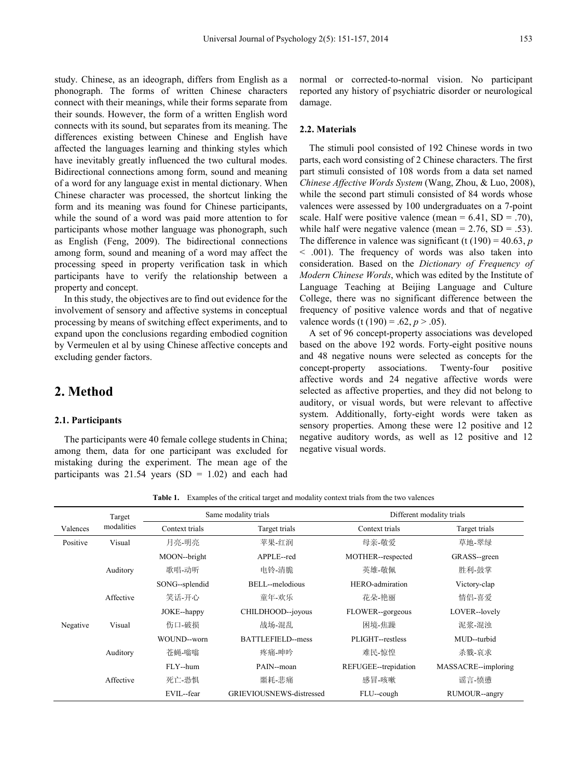study. Chinese, as an ideograph, differs from English as a phonograph. The forms of written Chinese characters connect with their meanings, while their forms separate from their sounds. However, the form of a written English word connects with its sound, but separates from its meaning. The differences existing between Chinese and English have affected the languages learning and thinking styles which have inevitably greatly influenced the two cultural modes. Bidirectional connections among form, sound and meaning of a word for any language exist in mental dictionary. When Chinese character was processed, the shortcut linking the form and its meaning was found for Chinese participants, while the sound of a word was paid more attention to for participants whose mother language was phonograph, such as English (Feng, 2009). The bidirectional connections among form, sound and meaning of a word may affect the processing speed in property verification task in which participants have to verify the relationship between a property and concept.

In this study, the objectives are to find out evidence for the involvement of sensory and affective systems in conceptual processing by means of switching effect experiments, and to expand upon the conclusions regarding embodied cognition by Vermeulen et al by using Chinese affective concepts and excluding gender factors.

## **2. Method**

#### **2.1. Participants**

The participants were 40 female college students in China; among them, data for one participant was excluded for mistaking during the experiment. The mean age of the participants was  $21.54$  years (SD = 1.02) and each had

normal or corrected-to-normal vision. No participant reported any history of psychiatric disorder or neurological damage.

### **2.2. Materials**

The stimuli pool consisted of 192 Chinese words in two parts, each word consisting of 2 Chinese characters. The first part stimuli consisted of 108 words from a data set named *Chinese Affective Words System* (Wang, Zhou, & Luo, 2008), while the second part stimuli consisted of 84 words whose valences were assessed by 100 undergraduates on a 7-point scale. Half were positive valence (mean  $= 6.41$ , SD  $= .70$ ), while half were negative valence (mean =  $2.76$ , SD =  $.53$ ). The difference in valence was significant (t  $(190) = 40.63$ , *p* < .001). The frequency of words was also taken into consideration. Based on the *Dictionary of Frequency of Modern Chinese Words*, which was edited by the Institute of Language Teaching at Beijing Language and Culture College, there was no significant difference between the frequency of positive valence words and that of negative valence words (t (190) = .62,  $p > .05$ ).

A set of 96 concept-property associations was developed based on the above 192 words. Forty-eight positive nouns and 48 negative nouns were selected as concepts for the concept-property associations. Twenty-four positive affective words and 24 negative affective words were selected as affective properties, and they did not belong to auditory, or visual words, but were relevant to affective system. Additionally, forty-eight words were taken as sensory properties. Among these were 12 positive and 12 negative auditory words, as well as 12 positive and 12 negative visual words.

**Table 1.** Examples of the critical target and modality context trials from the two valences

|          | Target     | Same modality trials |                                 | Different modality trials |                     |  |
|----------|------------|----------------------|---------------------------------|---------------------------|---------------------|--|
| Valences | modalities | Context trials       | Target trials                   | Context trials            | Target trials       |  |
| Positive | Visual     | 月亮-明亮                | 苹果-红润                           | 母亲-敬爱                     | 草地-翠绿               |  |
|          |            | MOON--bright         | APPLE--red                      | MOTHER--respected         | GRASS-green         |  |
|          | Auditory   | 歌唱-动听                | 电铃-清脆                           | 英雄-敬佩                     | 胜利-鼓掌               |  |
|          |            | SONG--splendid       | BELL--melodious                 | HERO-admiration           | Victory-clap        |  |
|          | Affective  | 笑话-开心                | 童年-欢乐                           | 花朵-艳丽                     | 情侣-喜爱               |  |
|          |            | JOKE--happy          | CHILDHOOD--joyous               | FLOWER--gorgeous          | LOVER--lovely       |  |
| Negative | Visual     | 伤口-破损                | 战场-混乱                           | 困境-焦躁                     | 泥浆-混浊               |  |
|          |            | WOUND--worn          | BATTLEFIELD-mess                | PLIGHT-restless           | MUD-turbid          |  |
|          | Auditory   | 苓蝇 嗡嗡                | 疼痛 呻吟                           | 难民-惊惶                     | 杀戮-哀求               |  |
|          |            | FLY--hum             | PAIN--moan                      | REFUGEE--trepidation      | MASSACRE--imploring |  |
|          | Affective  | 死亡-恐惧                | 噩耗-悲痛                           | 感冒-咳嗽                     | 谣言-愤懑               |  |
|          |            | EVIL--fear           | <b>GRIEVIOUSNEWS-distressed</b> | FLU--cough                | RUMOUR--angry       |  |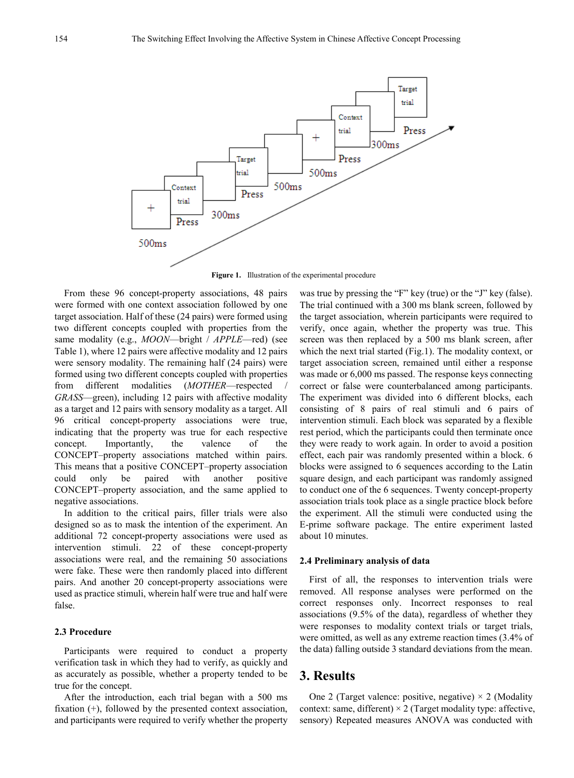

**Figure 1.** Illustration of the experimental procedure

From these 96 concept-property associations, 48 pairs were formed with one context association followed by one target association. Half of these (24 pairs) were formed using two different concepts coupled with properties from the same modality (e.g., *MOON*—bright / *APPLE*—red) (see Table 1), where 12 pairs were affective modality and 12 pairs were sensory modality. The remaining half (24 pairs) were formed using two different concepts coupled with properties from different modalities (*MOTHER*—respected *GRASS*—green), including 12 pairs with affective modality as a target and 12 pairs with sensory modality as a target. All 96 critical concept-property associations were true, indicating that the property was true for each respective concept. Importantly, the valence of the CONCEPT–property associations matched within pairs. This means that a positive CONCEPT–property association could only be paired with another positive CONCEPT–property association, and the same applied to negative associations.

In addition to the critical pairs, filler trials were also designed so as to mask the intention of the experiment. An additional 72 concept-property associations were used as intervention stimuli. 22 of these concept-property associations were real, and the remaining 50 associations were fake. These were then randomly placed into different pairs. And another 20 concept-property associations were used as practice stimuli, wherein half were true and half were false.

#### **2.3 Procedure**

Participants were required to conduct a property verification task in which they had to verify, as quickly and as accurately as possible, whether a property tended to be true for the concept.

After the introduction, each trial began with a 500 ms fixation (+), followed by the presented context association, and participants were required to verify whether the property

was true by pressing the "F" key (true) or the "J" key (false). The trial continued with a 300 ms blank screen, followed by the target association, wherein participants were required to verify, once again, whether the property was true. This screen was then replaced by a 500 ms blank screen, after which the next trial started (Fig.1). The modality context, or target association screen, remained until either a response was made or 6,000 ms passed. The response keys connecting correct or false were counterbalanced among participants. The experiment was divided into 6 different blocks, each consisting of 8 pairs of real stimuli and 6 pairs of intervention stimuli. Each block was separated by a flexible rest period, which the participants could then terminate once they were ready to work again. In order to avoid a position effect, each pair was randomly presented within a block. 6 blocks were assigned to 6 sequences according to the Latin square design, and each participant was randomly assigned to conduct one of the 6 sequences. Twenty concept-property association trials took place as a single practice block before the experiment. All the stimuli were conducted using the E-prime software package. The entire experiment lasted about 10 minutes.

#### **2.4 Preliminary analysis of data**

First of all, the responses to intervention trials were removed. All response analyses were performed on the correct responses only. Incorrect responses to real associations (9.5% of the data), regardless of whether they were responses to modality context trials or target trials, were omitted, as well as any extreme reaction times (3.4% of the data) falling outside 3 standard deviations from the mean.

## **3. Results**

One 2 (Target valence: positive, negative)  $\times$  2 (Modality context: same, different)  $\times$  2 (Target modality type: affective, sensory) Repeated measures ANOVA was conducted with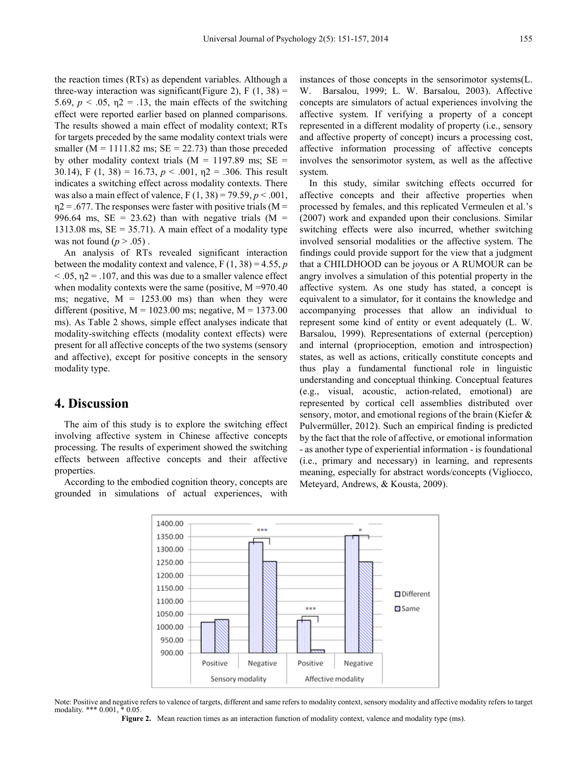the reaction times (RTs) as dependent variables. Although a three-way interaction was significant(Figure 2),  $F(1, 38) =$ 5.69,  $p < .05$ ,  $\eta$ 2 = .13, the main effects of the switching effect were reported earlier based on planned comparisons. The results showed a main effect of modality context; RTs for targets preceded by the same modality context trials were smaller ( $M = 1111.82$  ms;  $SE = 22.73$ ) than those preceded by other modality context trials ( $M = 1197.89$  ms;  $SE =$ 30.14), F (1, 38) = 16.73,  $p < .001$ ,  $p2 = .306$ . This result indicates a switching effect across modality contexts. There was also a main effect of valence,  $F(1, 38) = 79.59, p < .001$ ,  $\eta$ 2 = .677. The responses were faster with positive trials (M = 996.64 ms,  $SE = 23.62$ ) than with negative trials (M = 1313.08 ms,  $SE = 35.71$ ). A main effect of a modality type was not found  $(p > .05)$ .

An analysis of RTs revealed significant interaction between the modality context and valence,  $F(1, 38) = 4.55$ , *p*  $<$  0.05,  $\eta$ 2 = 0.107, and this was due to a smaller valence effect when modality contexts were the same (positive, M =970.40) ms; negative,  $M = 1253.00$  ms) than when they were different (positive,  $M = 1023.00$  ms; negative,  $M = 1373.00$ ms). As Table 2 shows, simple effect analyses indicate that modality-switching effects (modality context effects) were present for all affective concepts of the two systems (sensory and affective), except for positive concepts in the sensory modality type.

## **4. Discussion**

The aim of this study is to explore the switching effect involving affective system in Chinese affective concepts processing. The results of experiment showed the switching effects between affective concepts and their affective properties.

According to the embodied cognition theory, concepts are grounded in simulations of actual experiences, with

instances of those concepts in the sensorimotor systems(L. W. Barsalou, 1999; L. W. Barsalou, 2003). Affective concepts are simulators of actual experiences involving the affective system. If verifying a property of a concept represented in a different modality of property (i.e., sensory and affective property of concept) incurs a processing cost, affective information processing of affective concepts involves the sensorimotor system, as well as the affective system.

In this study, similar switching effects occurred for affective concepts and their affective properties when processed by females, and this replicated Vermeulen et al.'s (2007) work and expanded upon their conclusions. Similar switching effects were also incurred, whether switching involved sensorial modalities or the affective system. The findings could provide support for the view that a judgment that a CHILDHOOD can be joyous or A RUMOUR can be angry involves a simulation of this potential property in the affective system. As one study has stated, a concept is equivalent to a simulator, for it contains the knowledge and accompanying processes that allow an individual to represent some kind of entity or event adequately (L. W. Barsalou, 1999). Representations of external (perception) and internal (proprioception, emotion and introspection) states, as well as actions, critically constitute concepts and thus play a fundamental functional role in linguistic understanding and conceptual thinking. Conceptual features (e.g., visual, acoustic, action-related, emotional) are represented by cortical cell assemblies distributed over sensory, motor, and emotional regions of the brain (Kiefer & Pulvermüller, 2012). Such an empirical finding is predicted by the fact that the role of affective, or emotional information - as another type of experiential information - is foundational (i.e., primary and necessary) in learning, and represents meaning, especially for abstract words/concepts (Vigliocco, Meteyard, Andrews, & Kousta, 2009).



Note: Positive and negative refers to valence of targets, different and same refers to modality context, sensory modality and affective modality refers to target modality. \*\*\* 0.001, \* 0.05.

**Figure 2.** Mean reaction times as an interaction function of modality context, valence and modality type (ms).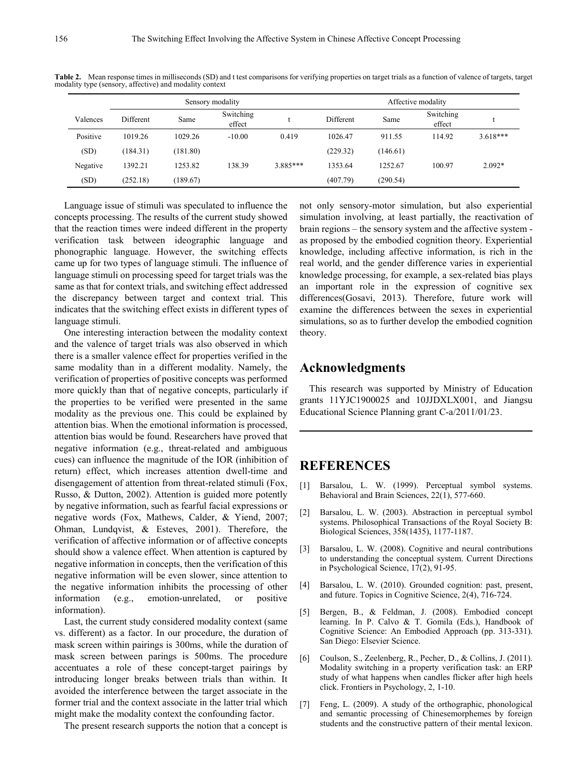|          | Sensory modality |          |                     |          | Affective modality |          |                     |            |
|----------|------------------|----------|---------------------|----------|--------------------|----------|---------------------|------------|
| Valences | Different        | Same     | Switching<br>effect |          | Different          | Same     | Switching<br>effect |            |
| Positive | 1019.26          | 1029.26  | $-10.00$            | 0.419    | 1026.47            | 911.55   | 114.92              | $3.618***$ |
| (SD)     | (184.31)         | (181.80) |                     |          | (229.32)           | (146.61) |                     |            |
| Negative | 1392.21          | 1253.82  | 138.39              | 3.885*** | 1353.64            | 1252.67  | 100.97              | $2.092*$   |
| (SD)     | (252.18)         | (189.67) |                     |          | (407.79)           | (290.54) |                     |            |

**Table 2.** Mean response times in milliseconds (SD) and t test comparisons for verifying properties on target trials as a function of valence of targets, target modality type (sensory, affective) and modality context

Language issue of stimuli was speculated to influence the concepts processing. The results of the current study showed that the reaction times were indeed different in the property verification task between ideographic language and phonographic language. However, the switching effects came up for two types of language stimuli. The influence of language stimuli on processing speed for target trials was the same as that for context trials, and switching effect addressed the discrepancy between target and context trial. This indicates that the switching effect exists in different types of language stimuli.

One interesting interaction between the modality context and the valence of target trials was also observed in which there is a smaller valence effect for properties verified in the same modality than in a different modality. Namely, the verification of properties of positive concepts was performed more quickly than that of negative concepts, particularly if the properties to be verified were presented in the same modality as the previous one. This could be explained by attention bias. When the emotional information is processed, attention bias would be found. Researchers have proved that negative information (e.g., threat-related and ambiguous cues) can influence the magnitude of the IOR (inhibition of return) effect, which increases attention dwell-time and disengagement of attention from threat-related stimuli (Fox, Russo, & Dutton, 2002). Attention is guided more potently by negative information, such as fearful facial expressions or negative words (Fox, Mathews, Calder, & Yiend, 2007; Ohman, Lundqvist, & Esteves, 2001). Therefore, the verification of affective information or of affective concepts should show a valence effect. When attention is captured by negative information in concepts, then the verification of this negative information will be even slower, since attention to the negative information inhibits the processing of other information (e.g., emotion-unrelated, or positive information).

Last, the current study considered modality context (same vs. different) as a factor. In our procedure, the duration of mask screen within pairings is 300ms, while the duration of mask screen between parings is 500ms. The procedure accentuates a role of these concept-target pairings by introducing longer breaks between trials than within. It avoided the interference between the target associate in the former trial and the context associate in the latter trial which might make the modality context the confounding factor.

The present research supports the notion that a concept is

not only sensory-motor simulation, but also experiential simulation involving, at least partially, the reactivation of brain regions – the sensory system and the affective system as proposed by the embodied cognition theory. Experiential knowledge, including affective information, is rich in the real world, and the gender difference varies in experiential knowledge processing, for example, a sex-related bias plays an important role in the expression of cognitive sex differences(Gosavi, 2013). Therefore, future work will examine the differences between the sexes in experiential simulations, so as to further develop the embodied cognition theory.

## **Acknowledgments**

This research was supported by Ministry of Education grants 11YJC1900025 and 10JJDXLX001, and Jiangsu Educational Science Planning grant C-a/2011/01/23.

## **REFERENCES**

- [1] Barsalou, L. W. (1999). Perceptual symbol systems. Behavioral and Brain Sciences,  $22(1)$ , 577-660.
- [2] Barsalou, L. W. (2003). Abstraction in perceptual symbol systems. Philosophical Transactions of the Royal Society B: Biological Sciences, 358(1435), 1177-1187.
- [3] Barsalou, L. W. (2008). Cognitive and neural contributions to understanding the conceptual system. Current Directions in Psychological Science, 17(2), 91-95.
- [4] Barsalou, L. W. (2010). Grounded cognition: past, present, and future. Topics in Cognitive Science, 2(4), 716-724.
- [5] Bergen, B., & Feldman, J. (2008). Embodied concept learning. In P. Calvo & T. Gomila (Eds.), Handbook of Cognitive Science: An Embodied Approach (pp. 313-331). San Diego: Elsevier Science.
- [6] Coulson, S., Zeelenberg, R., Pecher, D., & Collins, J. (2011). Modality switching in a property verification task: an ERP study of what happens when candles flicker after high heels click. Frontiers in Psychology, 2, 1-10.
- [7] Feng, L. (2009). A study of the orthographic, phonological and semantic processing of Chinesemorphemes by foreign students and the constructive pattern of their mental lexicon.